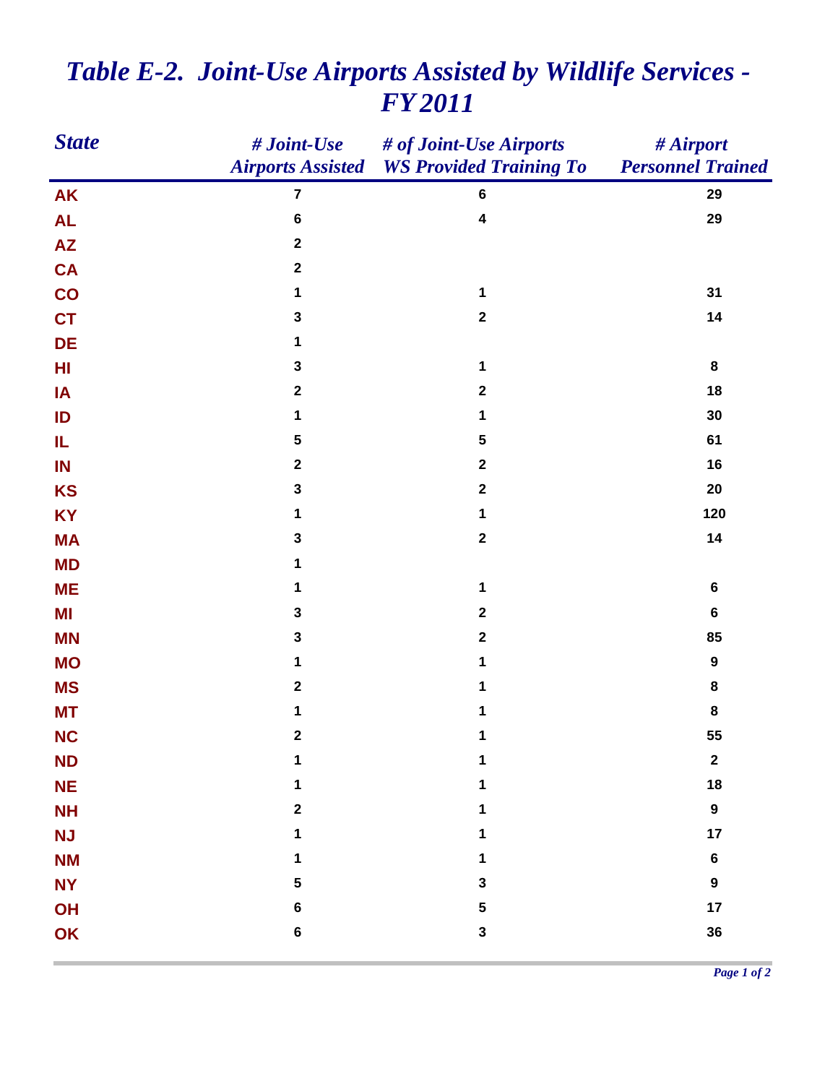| <b>State</b>    | # Joint-Use      | # of Joint-Use Airports                          | # Airport                |
|-----------------|------------------|--------------------------------------------------|--------------------------|
|                 |                  | <b>Airports Assisted WS Provided Training To</b> | <b>Personnel Trained</b> |
| <b>AK</b>       | $\overline{7}$   | $6\phantom{1}6$                                  | 29                       |
| <b>AL</b>       | $\bf 6$          | $\overline{\mathbf{4}}$                          | 29                       |
| $\overline{AZ}$ | $\boldsymbol{2}$ |                                                  |                          |
| <b>CA</b>       | $\mathbf 2$      |                                                  |                          |
| CO              | 1                | 1                                                | 31                       |
| <b>CT</b>       | $\mathbf 3$      | $\boldsymbol{2}$                                 | 14                       |
| DE              | 1                |                                                  |                          |
| HI              | $\mathbf 3$      | $\mathbf 1$                                      | $\bf8$                   |
| IA              | $\boldsymbol{2}$ | $\boldsymbol{2}$                                 | 18                       |
| ID              | 1                | 1                                                | 30                       |
| IL              | ${\bf 5}$        | 5                                                | 61                       |
| IN              | $\boldsymbol{2}$ | $\boldsymbol{2}$                                 | 16                       |
| <b>KS</b>       | 3                | $\boldsymbol{2}$                                 | 20                       |
| <b>KY</b>       | 1                | 1                                                | 120                      |
| <b>MA</b>       | $\mathbf 3$      | $\boldsymbol{2}$                                 | 14                       |
| <b>MD</b>       | 1                |                                                  |                          |
| <b>ME</b>       | 1                | 1                                                | $\bf 6$                  |
| MI              | $\mathbf 3$      | $\boldsymbol{2}$                                 | $\bf 6$                  |
| <b>MN</b>       | $\mathbf 3$      | $\mathbf 2$                                      | 85                       |
| <b>MO</b>       | 1                | 1                                                | $\boldsymbol{9}$         |
| <b>MS</b>       | $\boldsymbol{2}$ | 1                                                | 8                        |
| <b>MT</b>       | 1                | 1                                                | 8                        |
| <b>NC</b>       | $\mathbf 2$      | 1                                                | 55                       |
| <b>ND</b>       | 1                | 1                                                | $\boldsymbol{2}$         |
| <b>NE</b>       | 1                | 1                                                | 18                       |
| <b>NH</b>       | $\mathbf 2$      | 1                                                | $\boldsymbol{9}$         |
| <b>NJ</b>       | 1                | 1                                                | 17                       |
| <b>NM</b>       | 1                | 1                                                | $\bf 6$                  |
| <b>NY</b>       | ${\bf 5}$        | 3                                                | $\boldsymbol{9}$         |
| OH              | $\bf 6$          | 5                                                | 17                       |
| OK              | $\bf 6$          | $\mathbf{3}$                                     | 36                       |
|                 |                  |                                                  |                          |

## *Table E-2. Joint-Use Airports Assisted by Wildlife Services - FY 2011*